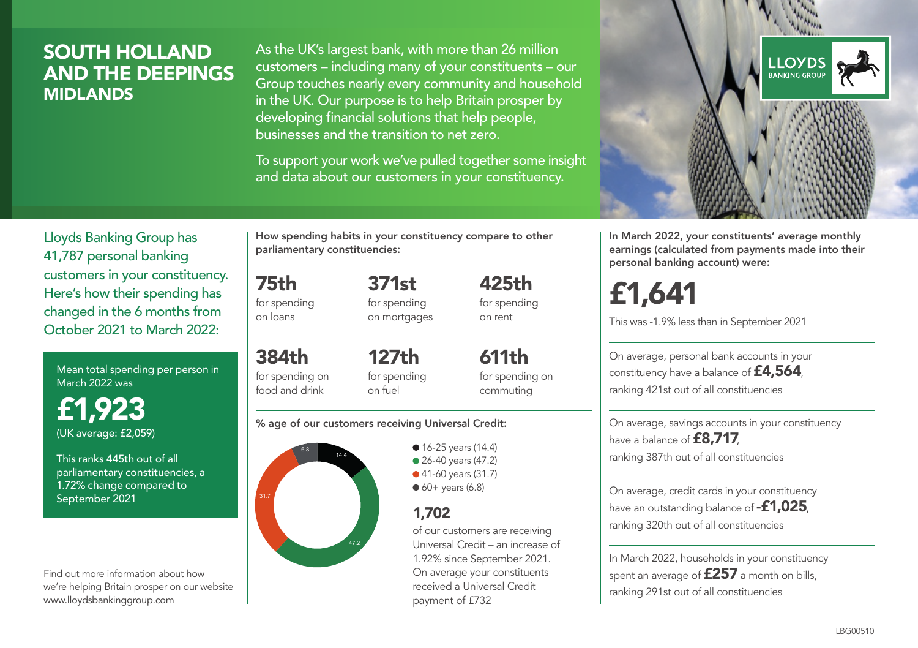### SOUTH HOLLAND AND THE DEEPINGS MIDLANDS

As the UK's largest bank, with more than 26 million customers – including many of your constituents – our Group touches nearly every community and household in the UK. Our purpose is to help Britain prosper by developing financial solutions that help people, businesses and the transition to net zero.

To support your work we've pulled together some insight and data about our customers in your constituency.



Mean total spending per person in March 2022 was

£1,923 (UK average: £2,059)

This ranks 445th out of all parliamentary constituencies, a 1.72% change compared to September 2021

Find out more information about how we're helping Britain prosper on our website www.lloydsbankinggroup.com

How spending habits in your constituency compare to other parliamentary constituencies:

> 371st for spending on mortgages

75th for spending on loans

384th for spending on food and drink 127th for spending on fuel

611th for spending on commuting

425th for spending on rent

#### % age of our customers receiving Universal Credit:



• 16-25 years (14.4) ● 26-40 years (47.2) ● 41-60 years (31.7)  $60+$  years (6.8)

### 1,702

of our customers are receiving Universal Credit – an increase of 1.92% since September 2021. On average your constituents received a Universal Credit payment of £732



In March 2022, your constituents' average monthly earnings (calculated from payments made into their personal banking account) were:

# £1,641

This was -1.9% less than in September 2021

On average, personal bank accounts in your constituency have a balance of £4,564, ranking 421st out of all constituencies

On average, savings accounts in your constituency have a balance of **£8,717**, ranking 387th out of all constituencies

On average, credit cards in your constituency have an outstanding balance of **-£1,025** ranking 320th out of all constituencies

In March 2022, households in your constituency spent an average of £257 a month on bills, ranking 291st out of all constituencies